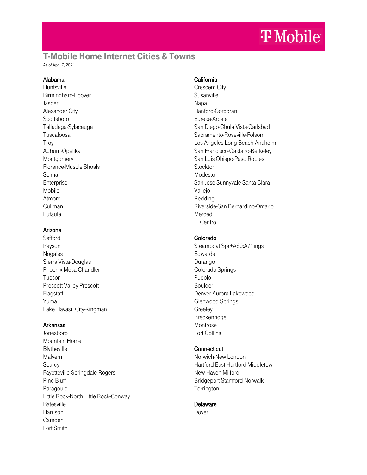# T-Mobile Home Internet Cities & Towns

As of April 7, 2021

### Alabama

**Huntsville** Birmingham-Hoover Jasper Alexander City Scottsboro Talladega-Sylacauga Tuscaloosa Troy Auburn-Opelika Montgomery Florence-Muscle Shoals Selma **Enterprise** Mobile Atmore Cullman Eufaula

### Arizona

**Safford** Payson Nogales Sierra Vista-Douglas Phoenix-Mesa-Chandler Tucson Prescott Valley-Prescott Flagstaff Yuma Lake Havasu City-Kingman

### Arkansas

Jonesboro Mountain Home **Blytheville** Malvern Searcy Fayetteville-Springdale-Rogers Pine Bluff Paragould Little Rock-North Little Rock-Conway **Batesville** Harrison Camden Fort Smith

# California

Crescent City **Susanville Napa** Hanford-Corcoran Eureka-Arcata San Diego-Chula Vista-Carlsbad Sacramento-Roseville-Folsom Los Angeles-Long Beach-Anaheim San Francisco-Oakland-Berkeley San Luis Obispo-Paso Robles **Stockton** Modesto San Jose-Sunnyvale-Santa Clara Vallejo Redding Riverside-San Bernardino-Ontario Merced El Centro

# Colorado

Steamboat Spr+A60:A71ings **Edwards** Durango Colorado Springs Pueblo Boulder Denver-Aurora-Lakewood Glenwood Springs Greeley Breckenridge Montrose Fort Collins

# **Connecticut**

Norwich-New London Hartford-East Hartford-Middletown New Haven-Milford Bridgeport-Stamford-Norwalk **Torrington** 

# Delaware

Dover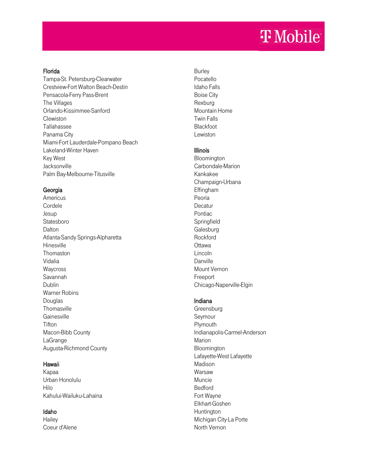#### Florida

Tampa-St. Petersburg-Clearwater Crestview-Fort Walton Beach-Destin Pensacola-Ferry Pass-Brent The Villages Orlando-Kissimmee-Sanford **Clewiston** Tallahassee Panama City Miami-Fort Lauderdale-Pompano Beach Lakeland-Winter Haven Key West Jacksonville Palm Bay-Melbourne-Titusville

### Georgia

Americus Cordele Jesup Statesboro Dalton Atlanta-Sandy Springs-Alpharetta Hinesville Thomaston Vidalia Waycross Savannah Dublin Warner Robins Douglas **Thomasville Gainesville Tifton** Macon-Bibb County LaGrange Augusta-Richmond County

### Hawaii

Kapaa Urban Honolulu Hilo Kahului-Wailuku-Lahaina

# Idaho

**Hailey** Coeur d'Alene

Burley Pocatello Idaho Falls Boise City Rexburg Mountain Home Twin Falls Blackfoot Lewiston

# Illinois

Bloomington Carbondale-Marion Kankakee Champaign-Urbana Effingham Peoria **Decatur** Pontiac **Springfield Galesburg Rockford Ottawa** Lincoln Danville Mount Vernon Freeport Chicago-Naperville-Elgin

# Indiana

**Greensburg** Seymour Plymouth Indianapolis-Carmel-Anderson Marion Bloomington Lafayette-West Lafayette Madison Warsaw Muncie Bedford Fort Wayne Elkhart-Goshen Huntington Michigan City-La Porte North Vernon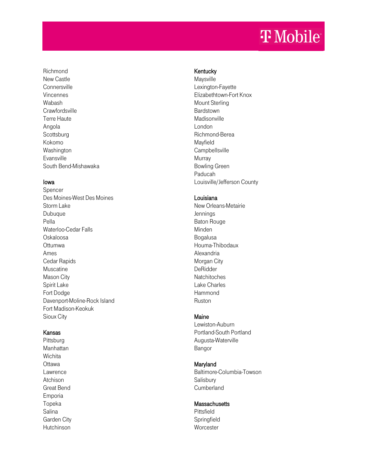Richmond New Castle **Connersville** Vincennes Wabash **Crawfordsville** Terre Haute Angola **Scottsburg** Kokomo Washington Evansville South Bend -Mishawaka

#### Iowa

Spencer Des Moines -West Des Moines Storm Lake Dubuque Pella Waterloo -Cedar Falls Oskaloosa Ottumwa Ames Cedar Rapids Muscatine Mason City Spirit Lake Fort Dodge Davenport -Moline -Rock Island Fort Madison -Keokuk Sioux City Richmond<br>
New Castle<br>
New Castle<br>
Noncenness<br>
Vincenness<br>
Vincenness<br>
Crawfordsville<br>
Econtsburg<br>
Scottsburg<br>
Scottsburg<br>
Scottsburg<br>
Washington<br>
Scott Bend Missian Asia<br>
Scottsburg<br>
Democratics<br>
Dubuque<br>
Democratics<br>
Offu

#### Kansas

Pittsburg Manhattan **Wichita Ottawa** Lawrence Atchison Great Bend Emporia Topeka Salina Garden City

### **Kentucky**

Maysville Lexington -Fayette Elizabethtown -Fort Knox Mount Sterling Bardstown Madisonville London Richmond -Berea Mayfield **Campbellsville** Murray Bowling Green Paducah Louisville/Jefferson County

#### Louisiana

New Orleans -Metairie Jennings Baton Rouge Minden Bogalusa Houma -Thibodaux Alexandria Morgan City DeRidder **Natchitoches** Lake Charles Hammond Ruston

# Maine

Lewiston -Auburn Portland -South Portland Augusta -Waterville Bangor

### Maryland

Baltimore -Columbia -Towson **Salisbury Cumberland** 

### **Massachusetts**

Pittsfield **Springfield Worcester**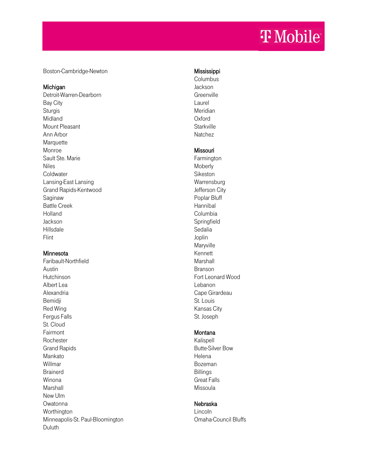Boston-Cambridge-Newton

#### Michigan

Detroit-Warren-Dearborn Bay City **Sturgis** Midland Mount Pleasant Ann Arbor **Marquette** Monroe Sault Ste. Marie Niles **Coldwater** Lansing-East Lansing Grand Rapids-Kentwood Saginaw Battle Creek Holland Jackson Hillsdale Flint

### Minnesota

Faribault-Northfield Austin Hutchinson Albert Lea Alexandria Bemidji Red Wing Fergus Falls St. Cloud Fairmont **Rochester** Grand Rapids Mankato Willmar Brainerd Winona Marshall New Ulm Owatonna Worthington Minneapolis-St. Paul-Bloomington Duluth

### Mississippi

Columbus Jackson **Greenville** Laurel Meridian Oxford **Starkville Natchez** 

### Missouri

Farmington **Moberly** Sikeston **Warrensburg** Jefferson City Poplar Bluff Hannibal Columbia **Springfield** Sedalia Joplin **Maryville** Kennett Marshall Branson Fort Leonard Wood Lebanon Cape Girardeau St. Louis Kansas City St. Joseph

### **Montana**

Kalispell Butte-Silver Bow Helena Bozeman Billings Great Falls Missoula

### Nebraska

Lincoln Omaha-Council Bluffs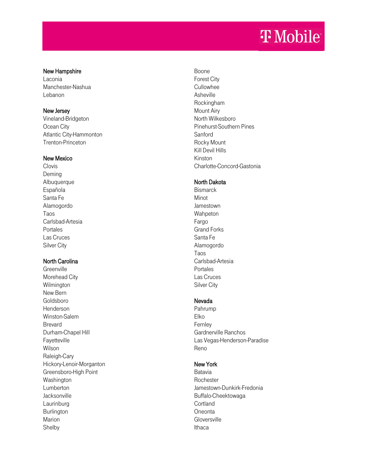#### New Hampshire

Laconia Manchester -Nashua Lebanon

### New Jersey

Vineland -Bridgeton Ocean City Atlantic City -Hammonton Trenton -Princeton

### New Mexico

**Clovis** Deming **Albuquerque** Española Santa Fe Alamogordo Taos Carlsbad -Artesia Portales Las Cruces Silver City

# North Carolina

Greenville Morehead City Wilmington New Bern Goldsboro Henderson Winston -Salem Brevard Durham -Chapel Hill Fayetteville Wilson Raleigh -Cary Hickory -Lenoir -Morganton Greensboro -High Point Washington Lumberton Jacksonville Laurinburg Burlington Marion Shelby

Boone Forest City Cullowhee Asheville Rockingham Mount Airy North Wilkesboro Pinehurst -Southern Pines Sanford Rocky Mount Kill Devil Hills Kinston Charlotte -Concord -Gastonia

### North Dakota

**Bismarck** Minot Jamestown Wahpeton Fargo Grand Forks Santa Fe Alamogordo Taos Carlsbad -Artesia Portales Las Cruces Silver City

### Nevada

Pahrump Elko Fernley Gardnerville Ranchos Las Vegas -Henderson -Paradise Reno

# New York

Batavia **Rochester** Jamestown -Dunkirk -Fredonia Buffalo -Cheektowaga **Cortland Oneonta Gloversville** Ithaca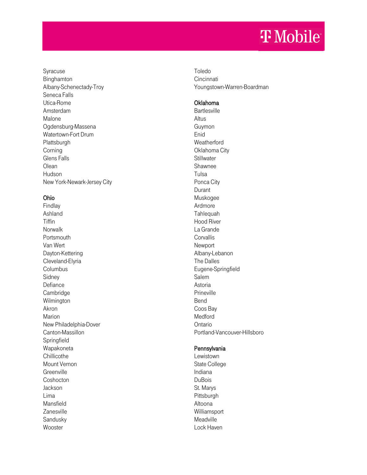Syracuse Binghamton Albany -Schenectady -Troy Seneca Falls Utica -Rome Amsterdam Malone Ogdensburg -Massena Watertown -Fort Drum Plattsburgh Corning Glens Falls **Olean** Hudson New York -Newark -Jersey City

# Ohio

Findlay Ashland Tiffin Norwalk Portsmouth Van Wert Dayton -Kettering Cleveland -Elyria **Columbus** Sidney Defiance Cambridge Wilmington Akron Marion New Philadelphia -Dover Canton -Massillon Springfield Wapakoneta **Chillicothe** Mount Vernon Greenville **Coshocton** Jackson Lima Mansfield Zanesville Sandusky **Wooster** 

Toledo **Cincinnati** Youngstown -Warren -Boardman

### Oklahoma

**Bartlesville** Altus Guymon Enid **Weatherford** Oklahoma City **Stillwater** Shawnee Tulsa Ponca City Durant Muskogee Ardmore Tahlequah Hood River La Grande **Corvallis** Newport Albany -Lebanon The Dalles Eugene -Springfield Salem Astoria Prineville Bend Coos Bay Medford Ontario Portland -Vancouver -Hillsboro

### **Pennsylvania**

Lewistown State College Indiana DuBois St. Marys Pittsburgh Altoona Williamsport Meadville Lock Haven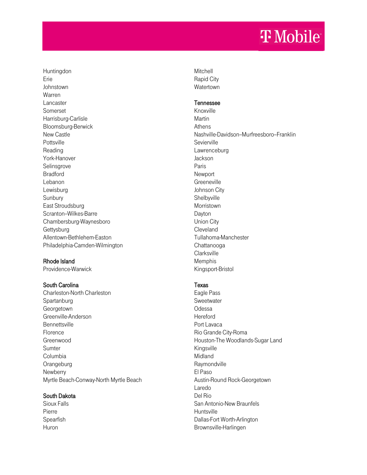Huntingdon Erie Johnstown Warren Lancaster Somerset Harrisburg-Carlisle Bloomsburg-Berwick New Castle Pottsville Reading York-Hanover Selinsgrove Bradford Lebanon Lewisburg Sunbury East Stroudsburg Scranton-Wilkes-Barre Chambersburg-Waynesboro **Gettysburg** Allentown-Bethlehem-Easton Philadelphia-Camden-Wilmington

# Rhode Island

Providence-Warwick

### South Carolina

Charleston-North Charleston Spartanburg Georgetown Greenville-Anderson **Bennettsville** Florence Greenwood Sumter Columbia **Orangeburg Newberry** Myrtle Beach-Conway-North Myrtle Beach

### South Dakota

Sioux Falls Pierre Spearfish Huron

**Mitchell** Rapid City **Watertown** 

#### Tennessee

Knoxville Martin Athens Nashville-Davidson-Murfreesboro-Franklin Sevierville **Lawrenceburg** Jackson Paris **Newport Greeneville** Johnson City Shelbyville Morristown Dayton Union City Cleveland Tullahoma-Manchester Chattanooga **Clarksville** Memphis Kingsport-Bristol

### Texas

Eagle Pass **Sweetwater** Odessa Hereford Port Lavaca Rio Grande City-Roma Houston-The Woodlands-Sugar Land Kingsville Midland Raymondville El Paso Austin-Round Rock-Georgetown Laredo Del Rio San Antonio-New Braunfels Huntsville Dallas-Fort Worth-Arlington Brownsville-Harlingen